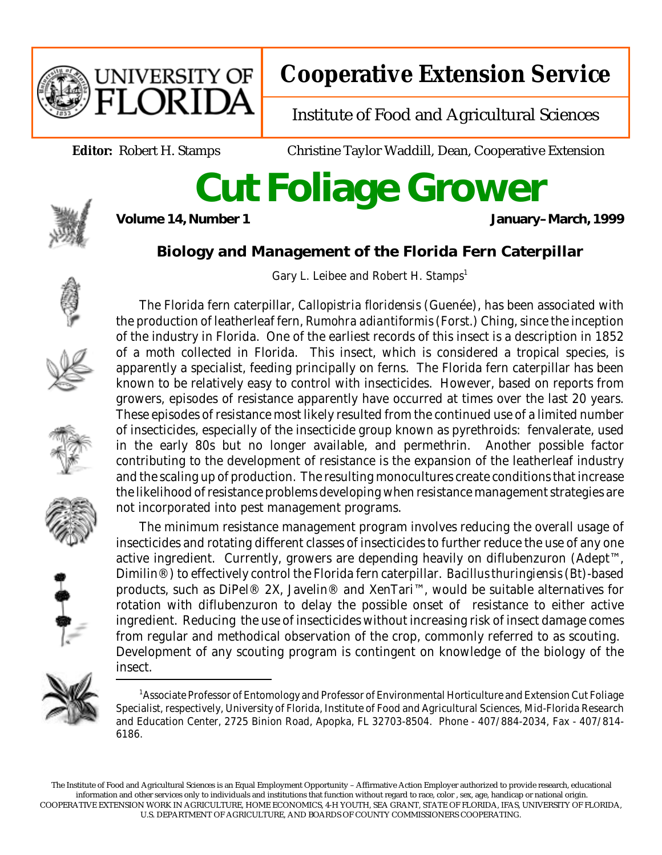

## **Cooperative Extension Service**

Institute of Food and Agricultural Sciences

**Editor:** Robert H. Stamps Christine Taylor Waddill, Dean, Cooperative Extension

## **Cut Foliage Grower**



January–March, 1999

## **Biology and Management of the Florida Fern Caterpillar**

Gary L. Leibee and Robert H. Stamps<sup>1</sup>













The minimum resistance management program involves reducing the overall usage of insecticides and rotating different classes of insecticides to further reduce the use of any one active ingredient. Currently, growers are depending heavily on diflubenzuron (Adept<sup>™</sup>, Dimilin®) to effectively control the Florida fern caterpillar. *Bacillus thuringiensis* (*Bt*)-based products, such as DiPel® 2X, Javelin® and XenTari™, would be suitable alternatives for rotation with diflubenzuron to delay the possible onset of resistance to either active ingredient. Reducing the use of insecticides without increasing risk of insect damage comes from regular and methodical observation of the crop, commonly referred to as scouting. Development of any scouting program is contingent on knowledge of the biology of the insect.



<sup>&</sup>lt;sup>1</sup> Associate Professor of Entomology and Professor of Environmental Horticulture and Extension Cut Foliage Specialist, respectively, University of Florida, Institute of Food and Agricultural Sciences, Mid-Florida Research and Education Center, 2725 Binion Road, Apopka, FL 32703-8504. Phone - 407/884-2034, Fax - 407/814- 6186.

The Institute of Food and Agricultural Sciences is an Equal Employment Opportunity – Affirmative Action Employer authorized to provide research, educational information and other services only to individuals and institutions that function without regard to race, color , sex, age, handicap or national origin. COOPERATIVE EXTENSION WORK IN AGRICULTURE, HOME ECONOMICS, 4-H YOUTH, SEA GRANT, STATE OF FLORIDA, IFAS, UNIVERSITY OF FLORIDA, U.S. DEPARTMENT OF AGRICULTURE, AND BOARDS OF COUNTY COMMISSIONERS COOPERATING.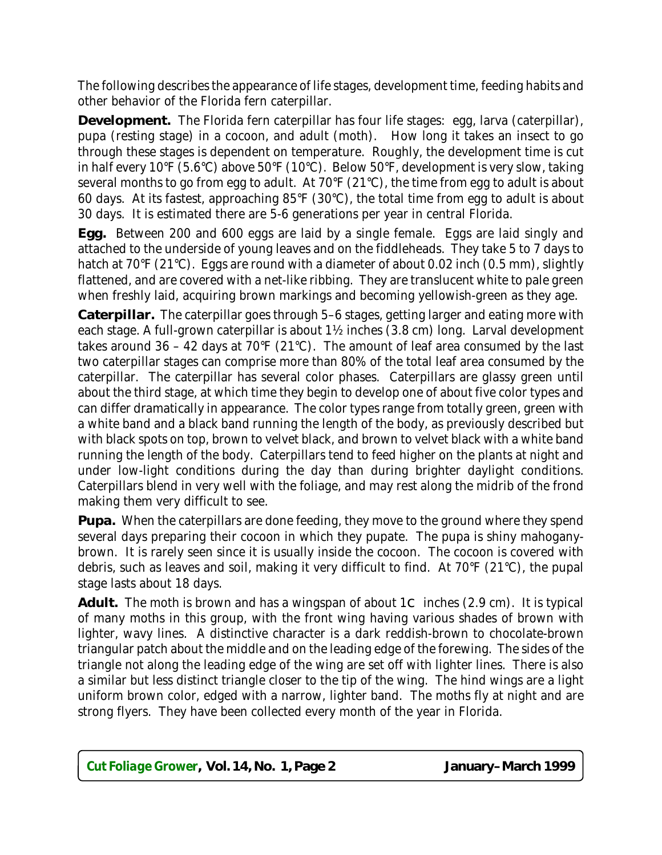The following describes the appearance of life stages, development time, feeding habits and other behavior of the Florida fern caterpillar.

**Development.** The Florida fern caterpillar has four life stages: egg, larva (caterpillar), pupa (resting stage) in a cocoon, and adult (moth). How long it takes an insect to go through these stages is dependent on temperature. Roughly, the development time is cut in half every 10°F (5.6°C) above 50°F (10°C). Below 50°F, development is very slow, taking several months to go from egg to adult. At 70°F (21°C), the time from egg to adult is about 60 days. At its fastest, approaching 85°F (30°C), the total time from egg to adult is about 30 days. It is estimated there are 5-6 generations per year in central Florida.

**Egg.** Between 200 and 600 eggs are laid by a single female. Eggs are laid singly and attached to the underside of young leaves and on the fiddleheads. They take 5 to 7 days to hatch at 70°F (21°C). Eggs are round with a diameter of about 0.02 inch (0.5 mm), slightly flattened, and are covered with a net-like ribbing. They are translucent white to pale green when freshly laid, acquiring brown markings and becoming yellowish-green as they age.

**Caterpillar.** The caterpillar goes through 5–6 stages, getting larger and eating more with each stage. A full-grown caterpillar is about 1½ inches (3.8 cm) long. Larval development takes around 36 – 42 days at 70 $\textdegree$  (21 $\textdegree$ C). The amount of leaf area consumed by the last two caterpillar stages can comprise more than 80% of the total leaf area consumed by the caterpillar. The caterpillar has several color phases. Caterpillars are glassy green until about the third stage, at which time they begin to develop one of about five color types and can differ dramatically in appearance. The color types range from totally green, green with a white band and a black band running the length of the body, as previously described but with black spots on top, brown to velvet black, and brown to velvet black with a white band running the length of the body. Caterpillars tend to feed higher on the plants at night and under low-light conditions during the day than during brighter daylight conditions. Caterpillars blend in very well with the foliage, and may rest along the midrib of the frond making them very difficult to see.

**Pupa.** When the caterpillars are done feeding, they move to the ground where they spend several days preparing their cocoon in which they pupate. The pupa is shiny mahoganybrown. It is rarely seen since it is usually inside the cocoon. The cocoon is covered with debris, such as leaves and soil, making it very difficult to find. At 70°F (21°C), the pupal stage lasts about 18 days.

Adult. The moth is brown and has a wingspan of about  $1C$  inches  $(2.9 \text{ cm})$ . It is typical of many moths in this group, with the front wing having various shades of brown with lighter, wavy lines. A distinctive character is a dark reddish-brown to chocolate-brown triangular patch about the middle and on the leading edge of the forewing. The sides of the triangle not along the leading edge of the wing are set off with lighter lines. There is also a similar but less distinct triangle closer to the tip of the wing. The hind wings are a light uniform brown color, edged with a narrow, lighter band. The moths fly at night and are strong flyers. They have been collected every month of the year in Florida.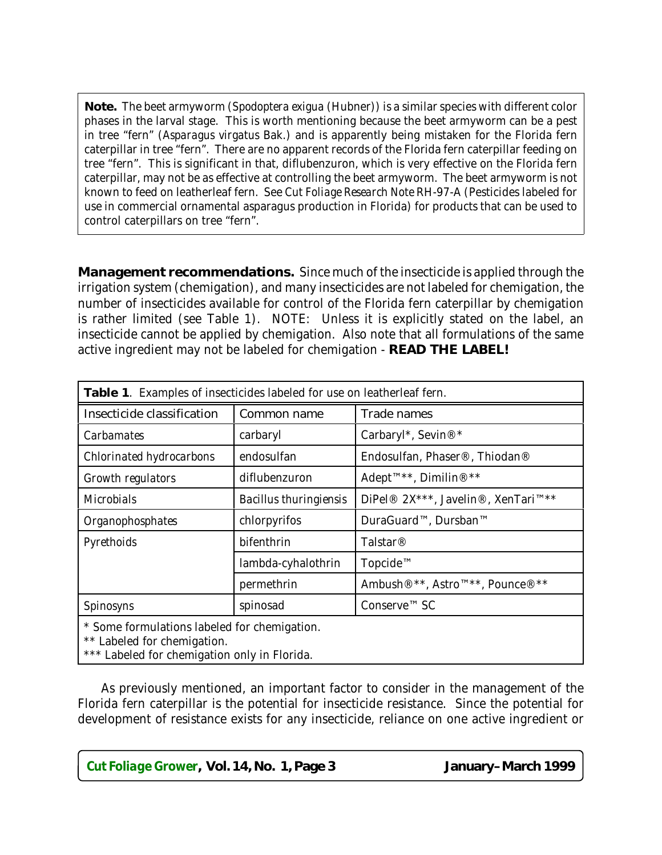**Note.** The beet armyworm (*Spodoptera exigua* (Hubner)) is a similar species with different color phases in the larval stage. This is worth mentioning because the beet armyworm can be a pest in tree "fern" (*Asparagus virgatus* Bak.) and is apparently being mistaken for the Florida fern caterpillar in tree "fern". There are no apparent records of the Florida fern caterpillar feeding on tree "fern". This is significant in that, diflubenzuron, which is very effective on the Florida fern caterpillar, may not be as effective at controlling the beet armyworm. The beet armyworm is not known to feed on leatherleaf fern. See *Cut Foliage Research Note* RH-97-A (Pesticides labeled for use in commercial ornamental asparagus production in Florida) for products that can be used to control caterpillars on tree "fern".

**Management recommendations.** Since much of the insecticide is applied through the irrigation system (chemigation), and many insecticides are not labeled for chemigation, the number of insecticides available for control of the Florida fern caterpillar by chemigation is rather limited (see Table 1). NOTE: Unless it is explicitly stated on the label, an insecticide cannot be applied by chemigation. Also note that all formulations of the same active ingredient may not be labeled for chemigation - **READ THE LABEL!**

| Table 1. Examples of insecticides labeled for use on leatherleaf fern. |                               |                                                                      |  |  |  |
|------------------------------------------------------------------------|-------------------------------|----------------------------------------------------------------------|--|--|--|
| <b>Insecticide classification</b>                                      | <b>Common name</b>            | <b>Trade names</b>                                                   |  |  |  |
| <i>Carbamates</i>                                                      | carbaryl                      | Carbaryl*, Sevin®*                                                   |  |  |  |
| Chlorinated hydrocarbons                                               | endosulfan                    | Endosulfan, Phaser®, Thiodan®                                        |  |  |  |
| <b>Growth regulators</b>                                               | diflubenzuron                 | Adept <sup>™**</sup> , Dimilin® <sup>**</sup>                        |  |  |  |
| <b>Microbials</b>                                                      | <b>Bacillus thuringiensis</b> | DiPel® 2X***, Javelin®, XenTari™**                                   |  |  |  |
| Organophosphates                                                       | chlorpyrifos                  | DuraGuard™, Dursban™                                                 |  |  |  |
| Pyrethoids                                                             | bifenthrin                    | <b>Talstar®</b>                                                      |  |  |  |
|                                                                        | lambda-cyhalothrin            | Topcide™                                                             |  |  |  |
|                                                                        | permethrin                    | Ambush <sup>®**</sup> , Astro <sup>™**</sup> , Pounce <sup>®**</sup> |  |  |  |
| <b>Spinosyns</b>                                                       | spinosad                      | Conserve <sup>™</sup> SC                                             |  |  |  |
| * Some formulations labeled for chemigation.<br>.                      |                               |                                                                      |  |  |  |

\*\* Labeled for chemigation.

\*\*\* Labeled for chemigation only in Florida.

As previously mentioned, an important factor to consider in the management of the Florida fern caterpillar is the potential for insecticide resistance. Since the potential for development of resistance exists for any insecticide, reliance on one active ingredient or